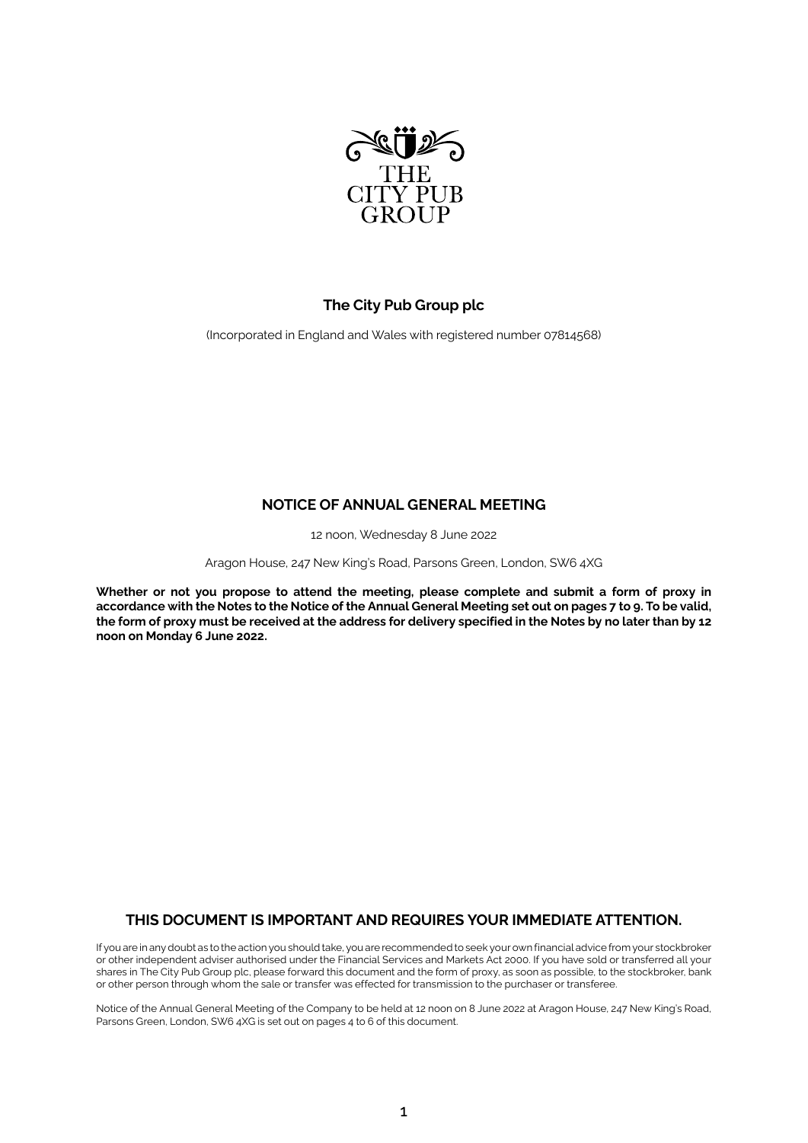

# **The City Pub Group plc**

(Incorporated in England and Wales with registered number 07814568)

# **NOTICE OF ANNUAL GENERAL MEETING**

12 noon, Wednesday 8 June 2022

Aragon House, 247 New King's Road, Parsons Green, London, SW6 4XG

**Whether or not you propose to attend the meeting, please complete and submit a form of proxy in accordance with the Notes to the Notice of the Annual General Meeting set out on pages 7 to 9. To be valid, the form of proxy must be received at the address for delivery specified in the Notes by no later than by 12 noon on Monday 6 June 2022.**

# **THIS DOCUMENT IS IMPORTANT AND REQUIRES YOUR IMMEDIATE ATTENTION.**

If you are in any doubt as to the action you should take, you are recommended to seek your own financial advice from your stockbroker or other independent adviser authorised under the Financial Services and Markets Act 2000. If you have sold or transferred all your shares in The City Pub Group plc, please forward this document and the form of proxy, as soon as possible, to the stockbroker, bank or other person through whom the sale or transfer was effected for transmission to the purchaser or transferee.

Notice of the Annual General Meeting of the Company to be held at 12 noon on 8 June 2022 at Aragon House, 247 New King's Road, Parsons Green, London, SW6 4XG is set out on pages 4 to 6 of this document.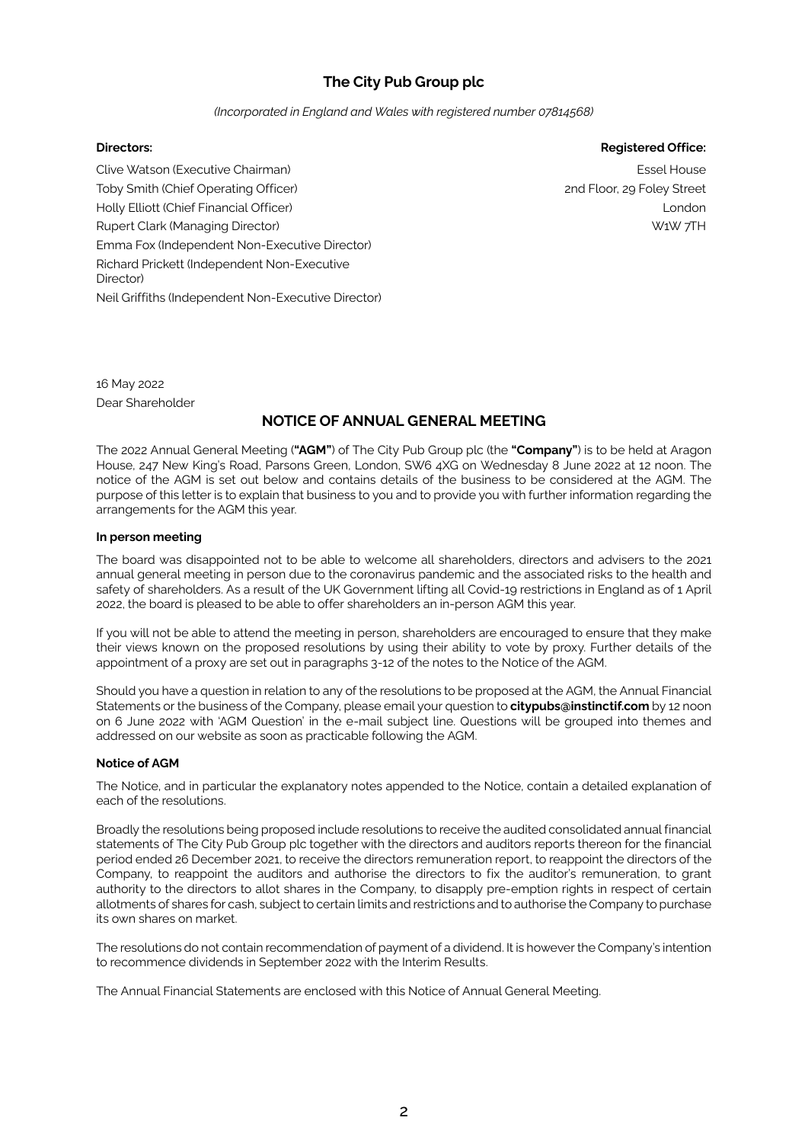# **The City Pub Group plc**

#### *(Incorporated in England and Wales with registered number 07814568)*

### **Directors: Registered Office:**

Clive Watson (Executive Chairman) Toby Smith (Chief Operating Officer) Holly Elliott (Chief Financial Officer) Rupert Clark (Managing Director) Emma Fox (Independent Non-Executive Director) Richard Prickett (Independent Non-Executive Director) Neil Griffiths (Independent Non-Executive Director)

Essel House 2nd Floor, 29 Foley Street London W1W 7TH

16 May 2022 Dear Shareholder

# **NOTICE OF ANNUAL GENERAL MEETING**

The 2022 Annual General Meeting (**"AGM"**) of The City Pub Group plc (the **"Company"**) is to be held at Aragon House, 247 New King's Road, Parsons Green, London, SW6 4XG on Wednesday 8 June 2022 at 12 noon. The notice of the AGM is set out below and contains details of the business to be considered at the AGM. The purpose of this letter is to explain that business to you and to provide you with further information regarding the arrangements for the AGM this year.

#### **In person meeting**

The board was disappointed not to be able to welcome all shareholders, directors and advisers to the 2021 annual general meeting in person due to the coronavirus pandemic and the associated risks to the health and safety of shareholders. As a result of the UK Government lifting all Covid-19 restrictions in England as of 1 April 2022, the board is pleased to be able to offer shareholders an in-person AGM this year.

If you will not be able to attend the meeting in person, shareholders are encouraged to ensure that they make their views known on the proposed resolutions by using their ability to vote by proxy. Further details of the appointment of a proxy are set out in paragraphs 3-12 of the notes to the Notice of the AGM.

Should you have a question in relation to any of the resolutions to be proposed at the AGM, the Annual Financial Statements or the business of the Company, please email your question to **[citypubs@instinctif.com](http://citypubs@instinctif.com)** by 12 noon on 6 June 2022 with 'AGM Question' in the e-mail subject line. Questions will be grouped into themes and addressed on our website as soon as practicable following the AGM.

# **Notice of AGM**

The Notice, and in particular the explanatory notes appended to the Notice, contain a detailed explanation of each of the resolutions.

Broadly the resolutions being proposed include resolutions to receive the audited consolidated annual financial statements of The City Pub Group plc together with the directors and auditors reports thereon for the financial period ended 26 December 2021, to receive the directors remuneration report, to reappoint the directors of the Company, to reappoint the auditors and authorise the directors to fix the auditor's remuneration, to grant authority to the directors to allot shares in the Company, to disapply pre-emption rights in respect of certain allotments of shares for cash, subject to certain limits and restrictions and to authorise the Company to purchase its own shares on market.

The resolutions do not contain recommendation of payment of a dividend. It is however the Company's intention to recommence dividends in September 2022 with the Interim Results.

The Annual Financial Statements are enclosed with this Notice of Annual General Meeting.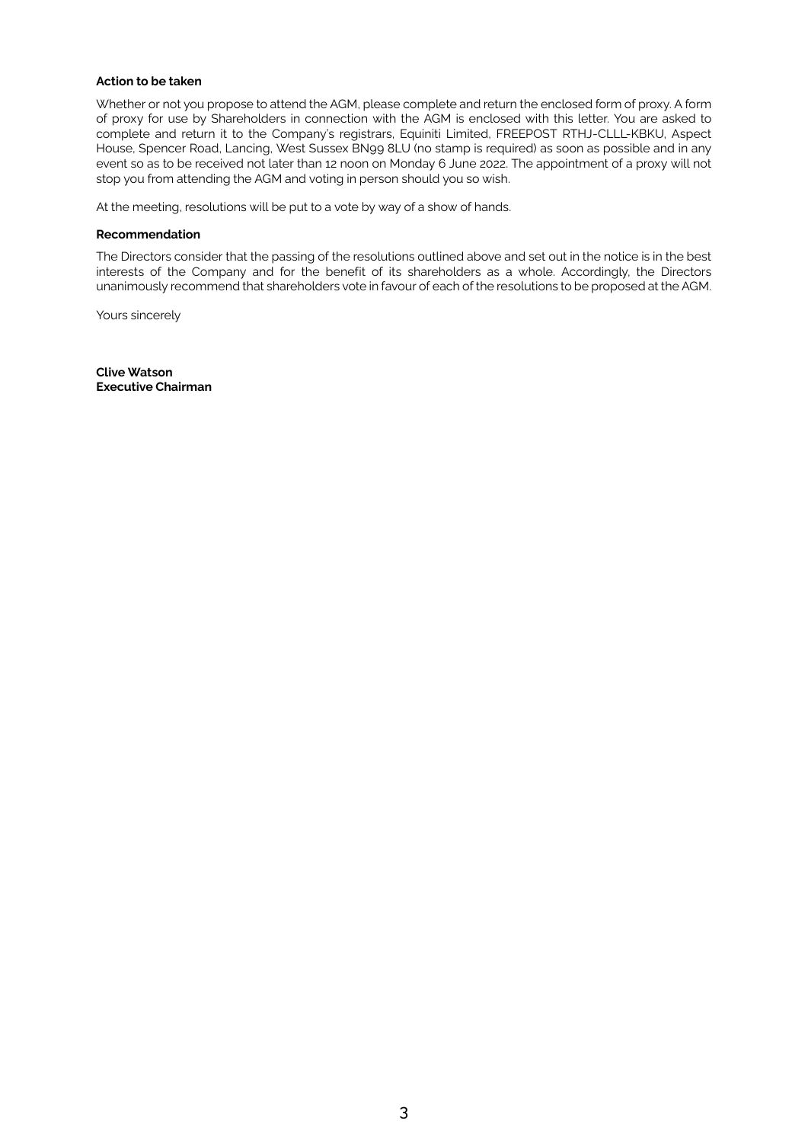# **Action to be taken**

Whether or not you propose to attend the AGM, please complete and return the enclosed form of proxy. A form of proxy for use by Shareholders in connection with the AGM is enclosed with this letter. You are asked to complete and return it to the Company's registrars, Equiniti Limited, FREEPOST RTHJ-CLLL-KBKU, Aspect House, Spencer Road, Lancing, West Sussex BN99 8LU (no stamp is required) as soon as possible and in any event so as to be received not later than 12 noon on Monday 6 June 2022. The appointment of a proxy will not stop you from attending the AGM and voting in person should you so wish.

At the meeting, resolutions will be put to a vote by way of a show of hands.

#### **Recommendation**

The Directors consider that the passing of the resolutions outlined above and set out in the notice is in the best interests of the Company and for the benefit of its shareholders as a whole. Accordingly, the Directors unanimously recommend that shareholders vote in favour of each of the resolutions to be proposed at the AGM.

Yours sincerely

**Clive Watson Executive Chairman**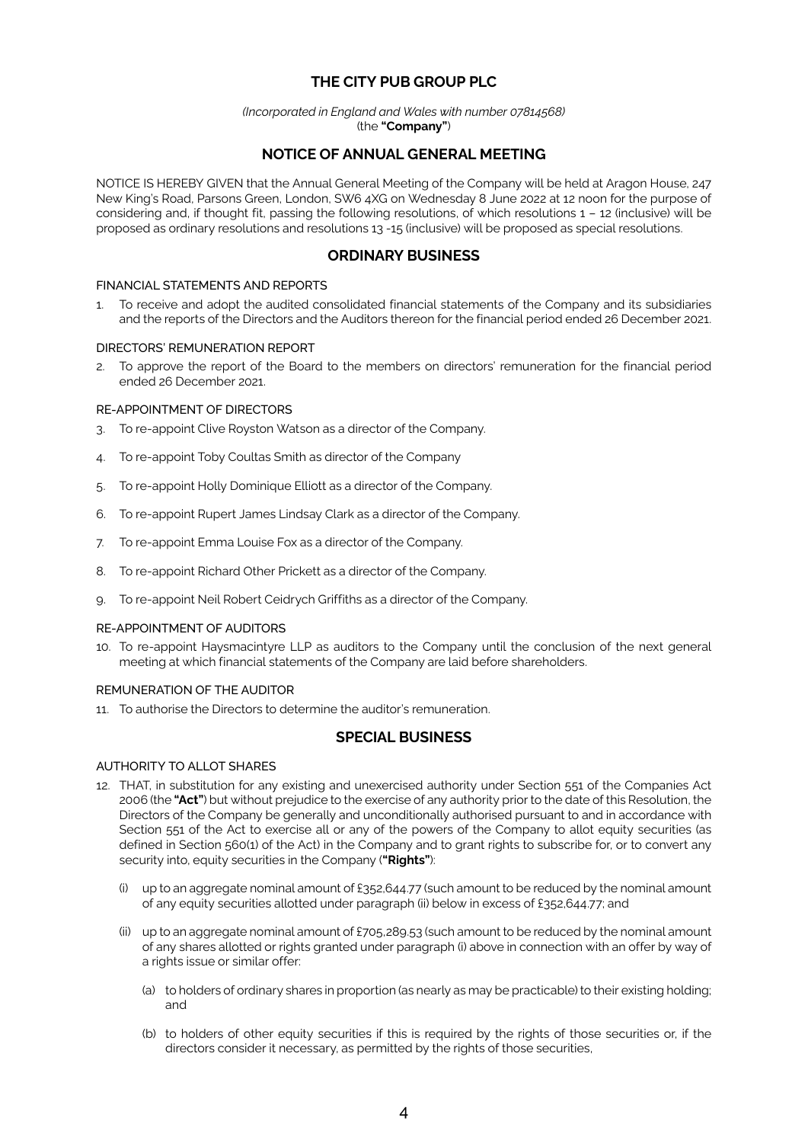# **THE CITY PUB GROUP PLC**

#### *(Incorporated in England and Wales with number 07814568)*  (the **"Company"**)

# **NOTICE OF ANNUAL GENERAL MEETING**

NOTICE IS HEREBY GIVEN that the Annual General Meeting of the Company will be held at Aragon House, 247 New King's Road, Parsons Green, London, SW6 4XG on Wednesday 8 June 2022 at 12 noon for the purpose of considering and, if thought fit, passing the following resolutions, of which resolutions 1 – 12 (inclusive) will be proposed as ordinary resolutions and resolutions 13 -15 (inclusive) will be proposed as special resolutions.

# **ORDINARY BUSINESS**

#### FINANCIAL STATEMENTS AND REPORTS

1. To receive and adopt the audited consolidated financial statements of the Company and its subsidiaries and the reports of the Directors and the Auditors thereon for the financial period ended 26 December 2021.

#### DIRECTORS' REMUNERATION REPORT

2. To approve the report of the Board to the members on directors' remuneration for the financial period ended 26 December 2021.

## RE-APPOINTMENT OF DIRECTORS

- 3. To re-appoint Clive Royston Watson as a director of the Company.
- 4. To re-appoint Toby Coultas Smith as director of the Company
- 5. To re-appoint Holly Dominique Elliott as a director of the Company.
- 6. To re-appoint Rupert James Lindsay Clark as a director of the Company.
- 7. To re-appoint Emma Louise Fox as a director of the Company.
- 8. To re-appoint Richard Other Prickett as a director of the Company.
- 9. To re-appoint Neil Robert Ceidrych Griffiths as a director of the Company.

#### RE-APPOINTMENT OF AUDITORS

10. To re-appoint Haysmacintyre LLP as auditors to the Company until the conclusion of the next general meeting at which financial statements of the Company are laid before shareholders.

#### REMUNERATION OF THE AUDITOR

11. To authorise the Directors to determine the auditor's remuneration.

# **SPECIAL BUSINESS**

### AUTHORITY TO ALLOT SHARES

- 12. THAT, in substitution for any existing and unexercised authority under Section 551 of the Companies Act 2006 (the **"Act"**) but without prejudice to the exercise of any authority prior to the date of this Resolution, the Directors of the Company be generally and unconditionally authorised pursuant to and in accordance with Section 551 of the Act to exercise all or any of the powers of the Company to allot equity securities (as defined in Section 560(1) of the Act) in the Company and to grant rights to subscribe for, or to convert any security into, equity securities in the Company (**"Rights"**):
	- (i) up to an aggregate nominal amount of £352,644.77 (such amount to be reduced by the nominal amount of any equity securities allotted under paragraph (ii) below in excess of £352,644.77; and
	- (ii) up to an aggregate nominal amount of £705,289.53 (such amount to be reduced by the nominal amount of any shares allotted or rights granted under paragraph (i) above in connection with an offer by way of a rights issue or similar offer:
		- (a) to holders of ordinary shares in proportion (as nearly as may be practicable) to their existing holding; and
		- (b) to holders of other equity securities if this is required by the rights of those securities or, if the directors consider it necessary, as permitted by the rights of those securities,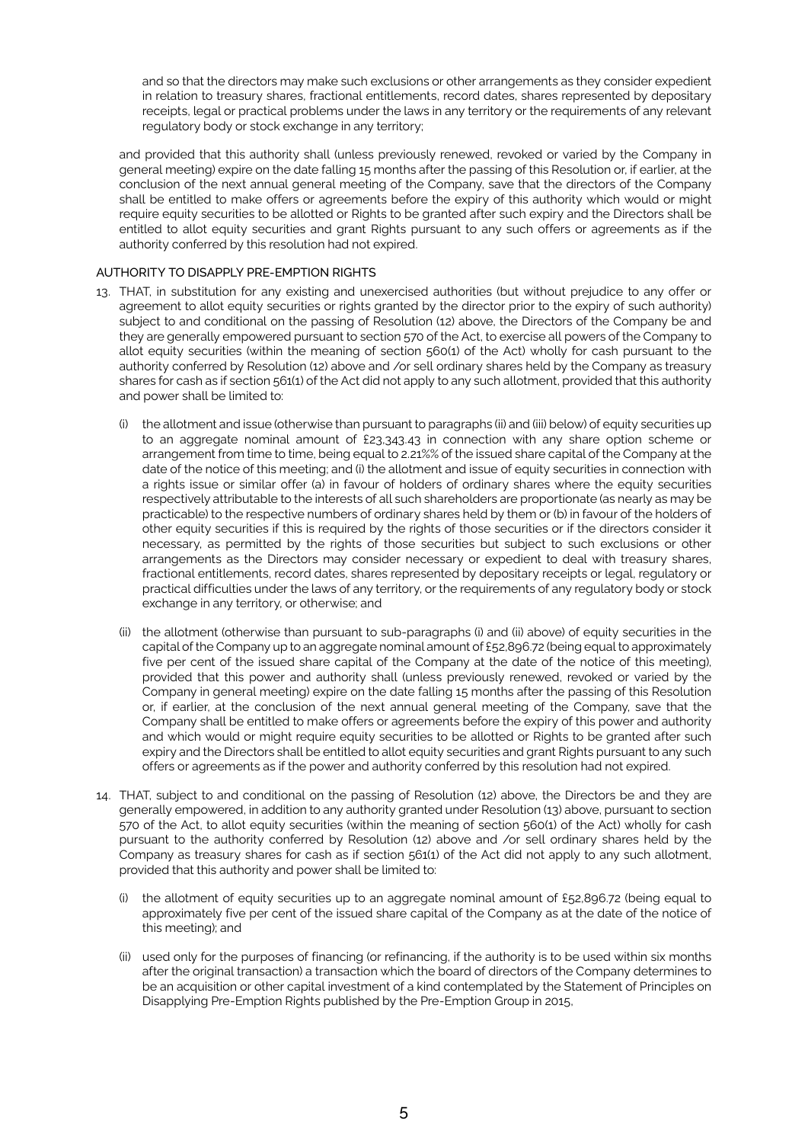and so that the directors may make such exclusions or other arrangements as they consider expedient in relation to treasury shares, fractional entitlements, record dates, shares represented by depositary receipts, legal or practical problems under the laws in any territory or the requirements of any relevant regulatory body or stock exchange in any territory;

and provided that this authority shall (unless previously renewed, revoked or varied by the Company in general meeting) expire on the date falling 15 months after the passing of this Resolution or, if earlier, at the conclusion of the next annual general meeting of the Company, save that the directors of the Company shall be entitled to make offers or agreements before the expiry of this authority which would or might require equity securities to be allotted or Rights to be granted after such expiry and the Directors shall be entitled to allot equity securities and grant Rights pursuant to any such offers or agreements as if the authority conferred by this resolution had not expired.

# AUTHORITY TO DISAPPLY PRE-EMPTION RIGHTS

- 13. THAT, in substitution for any existing and unexercised authorities (but without prejudice to any offer or agreement to allot equity securities or rights granted by the director prior to the expiry of such authority) subject to and conditional on the passing of Resolution (12) above, the Directors of the Company be and they are generally empowered pursuant to section 570 of the Act, to exercise all powers of the Company to allot equity securities (within the meaning of section 560(1) of the Act) wholly for cash pursuant to the authority conferred by Resolution (12) above and /or sell ordinary shares held by the Company as treasury shares for cash as if section 561(1) of the Act did not apply to any such allotment, provided that this authority and power shall be limited to:
	- (i) the allotment and issue (otherwise than pursuant to paragraphs (ii) and (iii) below) of equity securities up to an aggregate nominal amount of £23,343.43 in connection with any share option scheme or arrangement from time to time, being equal to 2.21%% of the issued share capital of the Company at the date of the notice of this meeting; and (i) the allotment and issue of equity securities in connection with a rights issue or similar offer (a) in favour of holders of ordinary shares where the equity securities respectively attributable to the interests of all such shareholders are proportionate (as nearly as may be practicable) to the respective numbers of ordinary shares held by them or (b) in favour of the holders of other equity securities if this is required by the rights of those securities or if the directors consider it necessary, as permitted by the rights of those securities but subject to such exclusions or other arrangements as the Directors may consider necessary or expedient to deal with treasury shares, fractional entitlements, record dates, shares represented by depositary receipts or legal, regulatory or practical difficulties under the laws of any territory, or the requirements of any regulatory body or stock exchange in any territory, or otherwise; and
	- (ii) the allotment (otherwise than pursuant to sub-paragraphs (i) and (ii) above) of equity securities in the capital of the Company up to an aggregate nominal amount of £52,896.72 (being equal to approximately five per cent of the issued share capital of the Company at the date of the notice of this meeting), provided that this power and authority shall (unless previously renewed, revoked or varied by the Company in general meeting) expire on the date falling 15 months after the passing of this Resolution or, if earlier, at the conclusion of the next annual general meeting of the Company, save that the Company shall be entitled to make offers or agreements before the expiry of this power and authority and which would or might require equity securities to be allotted or Rights to be granted after such expiry and the Directors shall be entitled to allot equity securities and grant Rights pursuant to any such offers or agreements as if the power and authority conferred by this resolution had not expired.
- 14. THAT, subject to and conditional on the passing of Resolution (12) above, the Directors be and they are generally empowered, in addition to any authority granted under Resolution (13) above, pursuant to section 570 of the Act, to allot equity securities (within the meaning of section 560(1) of the Act) wholly for cash pursuant to the authority conferred by Resolution (12) above and /or sell ordinary shares held by the Company as treasury shares for cash as if section 561(1) of the Act did not apply to any such allotment, provided that this authority and power shall be limited to:
	- (i) the allotment of equity securities up to an aggregate nominal amount of  $£52,896.72$  (being equal to approximately five per cent of the issued share capital of the Company as at the date of the notice of this meeting); and
	- (ii) used only for the purposes of financing (or refinancing, if the authority is to be used within six months after the original transaction) a transaction which the board of directors of the Company determines to be an acquisition or other capital investment of a kind contemplated by the Statement of Principles on Disapplying Pre-Emption Rights published by the Pre-Emption Group in 2015,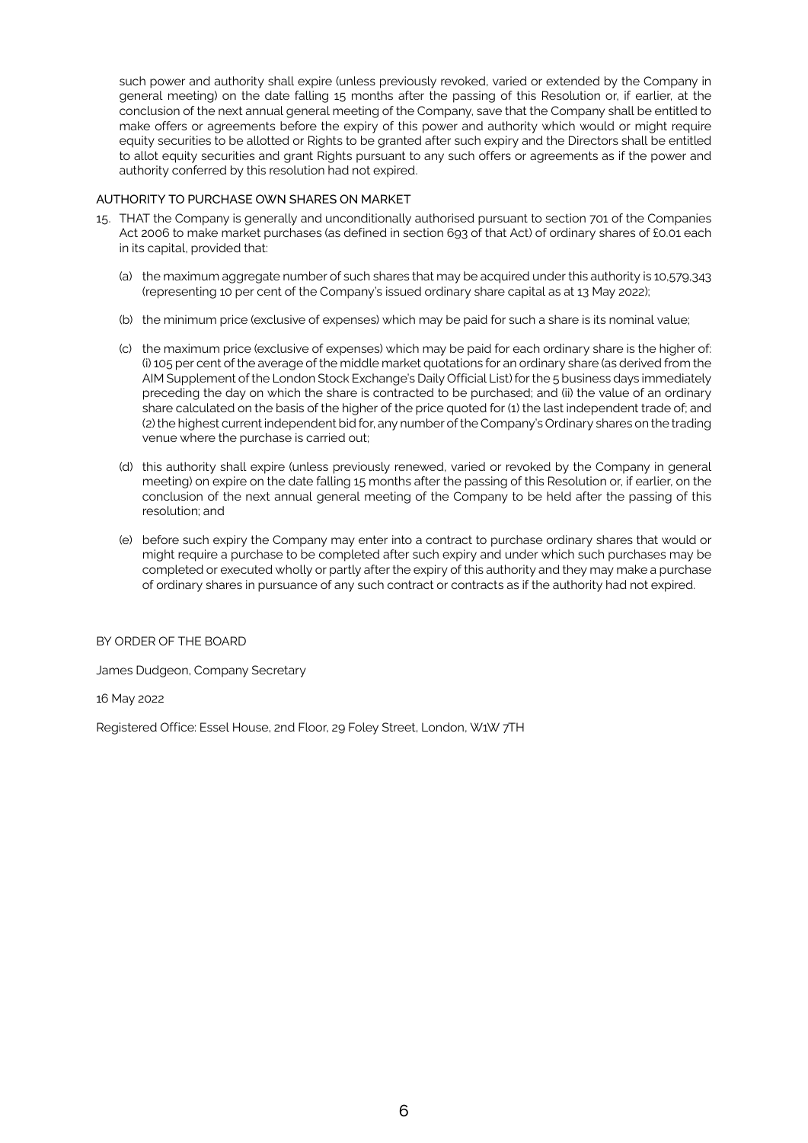such power and authority shall expire (unless previously revoked, varied or extended by the Company in general meeting) on the date falling 15 months after the passing of this Resolution or, if earlier, at the conclusion of the next annual general meeting of the Company, save that the Company shall be entitled to make offers or agreements before the expiry of this power and authority which would or might require equity securities to be allotted or Rights to be granted after such expiry and the Directors shall be entitled to allot equity securities and grant Rights pursuant to any such offers or agreements as if the power and authority conferred by this resolution had not expired.

# AUTHORITY TO PURCHASE OWN SHARES ON MARKET

- 15. THAT the Company is generally and unconditionally authorised pursuant to section 701 of the Companies Act 2006 to make market purchases (as defined in section 693 of that Act) of ordinary shares of £0.01 each in its capital, provided that:
	- (a) the maximum aggregate number of such shares that may be acquired under this authority is 10,579,343 (representing 10 per cent of the Company's issued ordinary share capital as at 13 May 2022);
	- (b) the minimum price (exclusive of expenses) which may be paid for such a share is its nominal value;
	- (c) the maximum price (exclusive of expenses) which may be paid for each ordinary share is the higher of: (i) 105 per cent of the average of the middle market quotations for an ordinary share (as derived from the AIM Supplement of the London Stock Exchange's Daily Official List) for the 5 business days immediately preceding the day on which the share is contracted to be purchased; and (ii) the value of an ordinary share calculated on the basis of the higher of the price quoted for (1) the last independent trade of; and (2) the highest current independent bid for, any number of the Company's Ordinary shares on the trading venue where the purchase is carried out;
	- (d) this authority shall expire (unless previously renewed, varied or revoked by the Company in general meeting) on expire on the date falling 15 months after the passing of this Resolution or, if earlier, on the conclusion of the next annual general meeting of the Company to be held after the passing of this resolution; and
	- (e) before such expiry the Company may enter into a contract to purchase ordinary shares that would or might require a purchase to be completed after such expiry and under which such purchases may be completed or executed wholly or partly after the expiry of this authority and they may make a purchase of ordinary shares in pursuance of any such contract or contracts as if the authority had not expired.

BY ORDER OF THE BOARD

James Dudgeon, Company Secretary

16 May 2022

Registered Office: Essel House, 2nd Floor, 29 Foley Street, London, W1W 7TH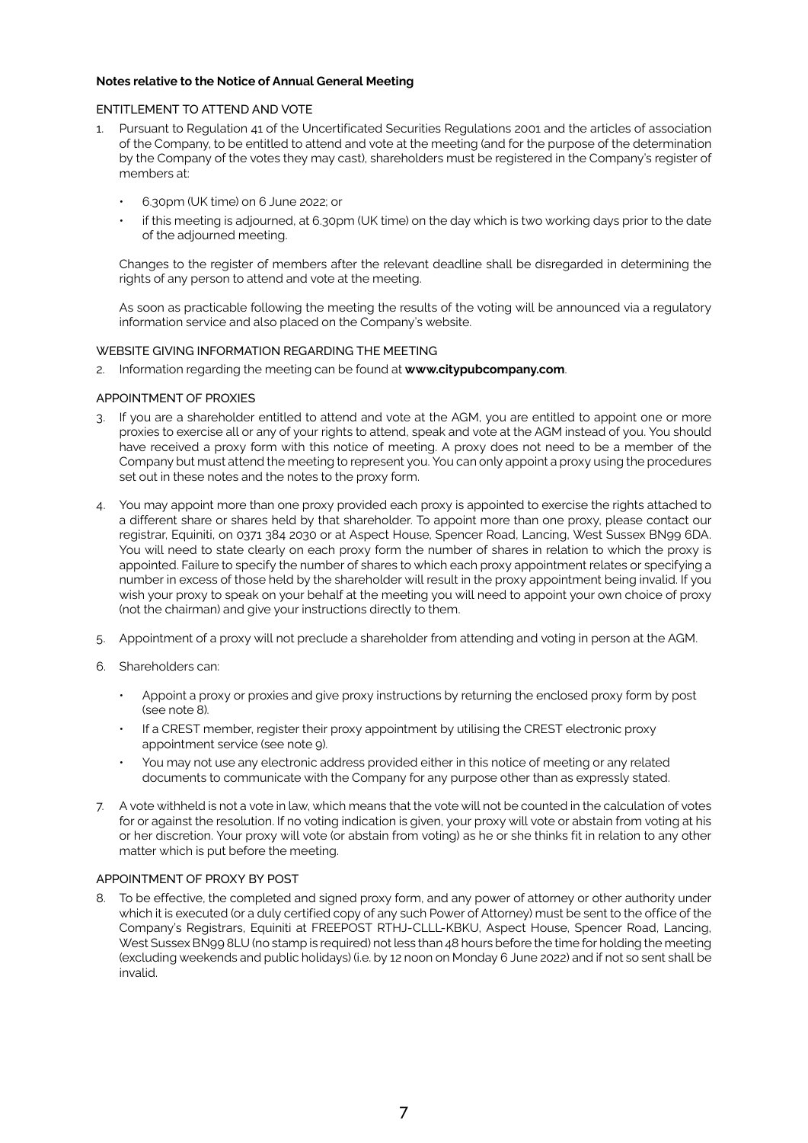# **Notes relative to the Notice of Annual General Meeting**

#### ENTITLEMENT TO ATTEND AND VOTE

- 1. Pursuant to Regulation 41 of the Uncertificated Securities Regulations 2001 and the articles of association of the Company, to be entitled to attend and vote at the meeting (and for the purpose of the determination by the Company of the votes they may cast), shareholders must be registered in the Company's register of members at:
	- 6.30pm (UK time) on 6 June 2022; or
	- if this meeting is adjourned, at 6.30pm (UK time) on the day which is two working days prior to the date of the adjourned meeting.

Changes to the register of members after the relevant deadline shall be disregarded in determining the rights of any person to attend and vote at the meeting.

As soon as practicable following the meeting the results of the voting will be announced via a regulatory information service and also placed on the Company's website.

# WEBSITE GIVING INFORMATION REGARDING THE MEETING

2. Information regarding the meeting can be found at **[www.citypubcompany.com](http://www.citypubcompany.com)**.

#### APPOINTMENT OF PROXIES

- 3. If you are a shareholder entitled to attend and vote at the AGM, you are entitled to appoint one or more proxies to exercise all or any of your rights to attend, speak and vote at the AGM instead of you. You should have received a proxy form with this notice of meeting. A proxy does not need to be a member of the Company but must attend the meeting to represent you. You can only appoint a proxy using the procedures set out in these notes and the notes to the proxy form.
- 4. You may appoint more than one proxy provided each proxy is appointed to exercise the rights attached to a different share or shares held by that shareholder. To appoint more than one proxy, please contact our registrar, Equiniti, on 0371 384 2030 or at Aspect House, Spencer Road, Lancing, West Sussex BN99 6DA. You will need to state clearly on each proxy form the number of shares in relation to which the proxy is appointed. Failure to specify the number of shares to which each proxy appointment relates or specifying a number in excess of those held by the shareholder will result in the proxy appointment being invalid. If you wish your proxy to speak on your behalf at the meeting you will need to appoint your own choice of proxy (not the chairman) and give your instructions directly to them.
- 5. Appointment of a proxy will not preclude a shareholder from attending and voting in person at the AGM.
- 6. Shareholders can:
	- Appoint a proxy or proxies and give proxy instructions by returning the enclosed proxy form by post (see note 8).
	- If a CREST member, register their proxy appointment by utilising the CREST electronic proxy appointment service (see note 9).
	- You may not use any electronic address provided either in this notice of meeting or any related documents to communicate with the Company for any purpose other than as expressly stated.
- 7. A vote withheld is not a vote in law, which means that the vote will not be counted in the calculation of votes for or against the resolution. If no voting indication is given, your proxy will vote or abstain from voting at his or her discretion. Your proxy will vote (or abstain from voting) as he or she thinks fit in relation to any other matter which is put before the meeting.

#### APPOINTMENT OF PROXY BY POST

8. To be effective, the completed and signed proxy form, and any power of attorney or other authority under which it is executed (or a duly certified copy of any such Power of Attorney) must be sent to the office of the Company's Registrars, Equiniti at FREEPOST RTHJ-CLLL-KBKU, Aspect House, Spencer Road, Lancing, West Sussex BN99 8LU (no stamp is required) not less than 48 hours before the time for holding the meeting (excluding weekends and public holidays) (i.e. by 12 noon on Monday 6 June 2022) and if not so sent shall be invalid.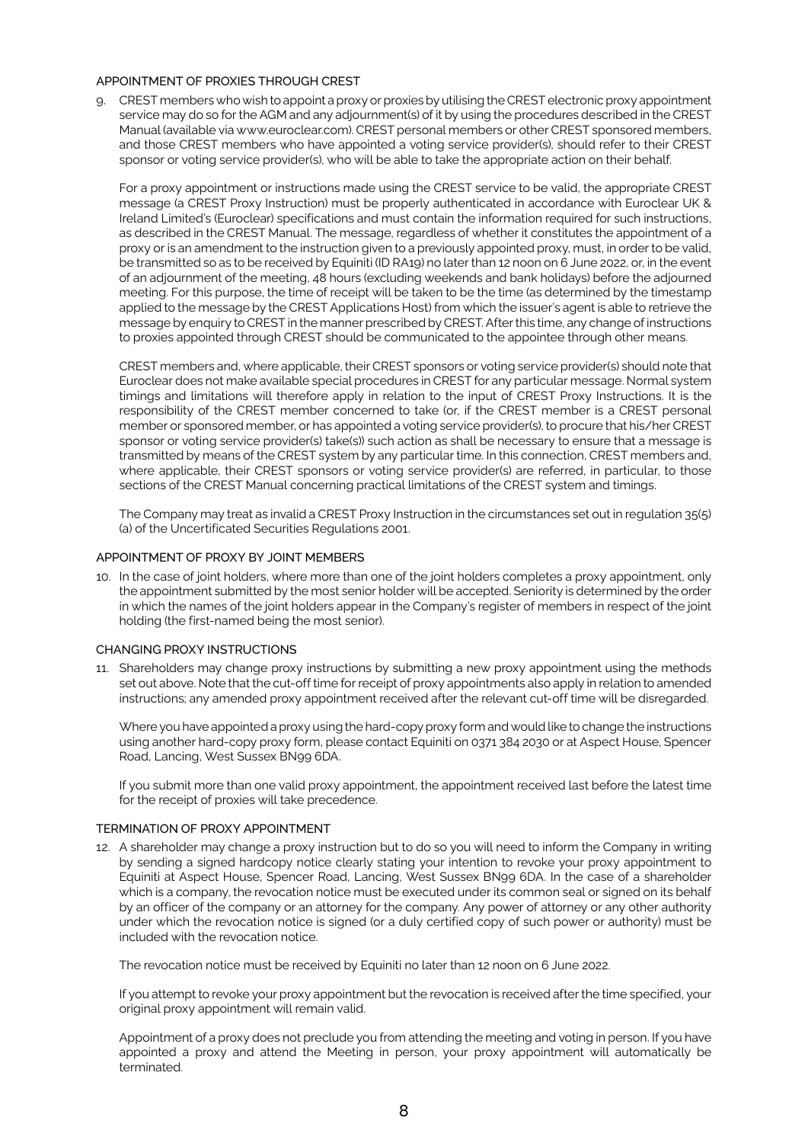#### APPOINTMENT OF PROXIES THROUGH CREST

9. CREST members who wish to appoint a proxy or proxies by utilising the CREST electronic proxy appointment service may do so for the AGM and any adjournment(s) of it by using the procedures described in the CREST Manual (available via www.euroclear.com). CREST personal members or other CREST sponsored members, and those CREST members who have appointed a voting service provider(s), should refer to their CREST sponsor or voting service provider(s), who will be able to take the appropriate action on their behalf.

For a proxy appointment or instructions made using the CREST service to be valid, the appropriate CREST message (a CREST Proxy Instruction) must be properly authenticated in accordance with Euroclear UK & Ireland Limited's (Euroclear) specifications and must contain the information required for such instructions, as described in the CREST Manual. The message, regardless of whether it constitutes the appointment of a proxy or is an amendment to the instruction given to a previously appointed proxy, must, in order to be valid, be transmitted so as to be received by Equiniti (ID RA19) no later than 12 noon on 6 June 2022, or, in the event of an adjournment of the meeting, 48 hours (excluding weekends and bank holidays) before the adjourned meeting. For this purpose, the time of receipt will be taken to be the time (as determined by the timestamp applied to the message by the CREST Applications Host) from which the issuer's agent is able to retrieve the message by enquiry to CREST in the manner prescribed by CREST. After this time, any change of instructions to proxies appointed through CREST should be communicated to the appointee through other means.

CREST members and, where applicable, their CREST sponsors or voting service provider(s) should note that Euroclear does not make available special procedures in CREST for any particular message. Normal system timings and limitations will therefore apply in relation to the input of CREST Proxy Instructions. It is the responsibility of the CREST member concerned to take (or, if the CREST member is a CREST personal member or sponsored member, or has appointed a voting service provider(s), to procure that his/her CREST sponsor or voting service provider(s) take(s)) such action as shall be necessary to ensure that a message is transmitted by means of the CREST system by any particular time. In this connection, CREST members and, where applicable, their CREST sponsors or voting service provider(s) are referred, in particular, to those sections of the CREST Manual concerning practical limitations of the CREST system and timings.

The Company may treat as invalid a CREST Proxy Instruction in the circumstances set out in regulation 35(5) (a) of the Uncertificated Securities Regulations 2001.

#### APPOINTMENT OF PROXY BY JOINT MEMBERS

10. In the case of joint holders, where more than one of the joint holders completes a proxy appointment, only the appointment submitted by the most senior holder will be accepted. Seniority is determined by the order in which the names of the joint holders appear in the Company's register of members in respect of the joint holding (the first-named being the most senior).

#### CHANGING PROXY INSTRUCTIONS

11. Shareholders may change proxy instructions by submitting a new proxy appointment using the methods set out above. Note that the cut-off time for receipt of proxy appointments also apply in relation to amended instructions; any amended proxy appointment received after the relevant cut-off time will be disregarded.

Where you have appointed a proxy using the hard-copy proxy form and would like to change the instructions using another hard-copy proxy form, please contact Equiniti on 0371 384 2030 or at Aspect House, Spencer Road, Lancing, West Sussex BN99 6DA.

If you submit more than one valid proxy appointment, the appointment received last before the latest time for the receipt of proxies will take precedence.

#### TERMINATION OF PROXY APPOINTMENT

12. A shareholder may change a proxy instruction but to do so you will need to inform the Company in writing by sending a signed hardcopy notice clearly stating your intention to revoke your proxy appointment to Equiniti at Aspect House, Spencer Road, Lancing, West Sussex BN99 6DA. In the case of a shareholder which is a company, the revocation notice must be executed under its common seal or signed on its behalf by an officer of the company or an attorney for the company. Any power of attorney or any other authority under which the revocation notice is signed (or a duly certified copy of such power or authority) must be included with the revocation notice.

The revocation notice must be received by Equiniti no later than 12 noon on 6 June 2022.

If you attempt to revoke your proxy appointment but the revocation is received after the time specified, your original proxy appointment will remain valid.

Appointment of a proxy does not preclude you from attending the meeting and voting in person. If you have appointed a proxy and attend the Meeting in person, your proxy appointment will automatically be terminated.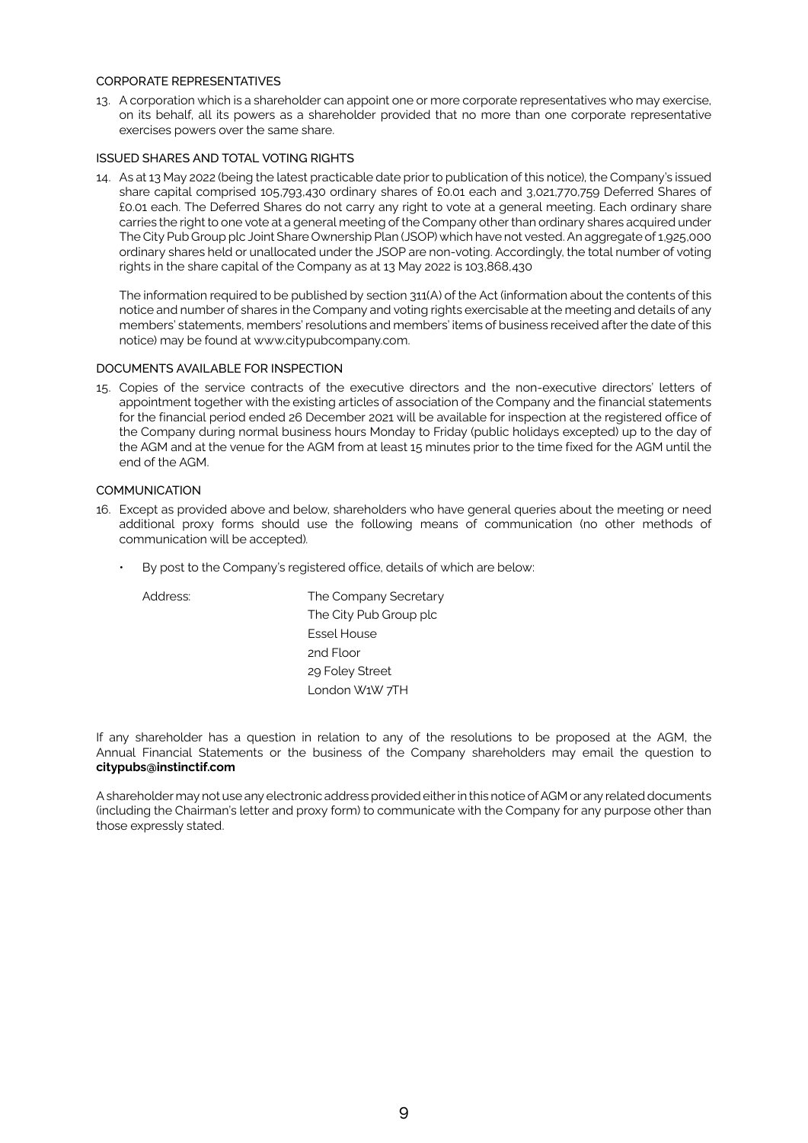#### CORPORATE REPRESENTATIVES

13. A corporation which is a shareholder can appoint one or more corporate representatives who may exercise, on its behalf, all its powers as a shareholder provided that no more than one corporate representative exercises powers over the same share.

# ISSUED SHARES AND TOTAL VOTING RIGHTS

14. As at 13 May 2022 (being the latest practicable date prior to publication of this notice), the Company's issued share capital comprised 105,793,430 ordinary shares of £0.01 each and 3,021,770,759 Deferred Shares of £0.01 each. The Deferred Shares do not carry any right to vote at a general meeting. Each ordinary share carries the right to one vote at a general meeting of the Company other than ordinary shares acquired under The City Pub Group plc Joint Share Ownership Plan (JSOP) which have not vested. An aggregate of 1,925,000 ordinary shares held or unallocated under the JSOP are non-voting. Accordingly, the total number of voting rights in the share capital of the Company as at 13 May 2022 is 103,868,430

The information required to be published by section 311(A) of the Act (information about the contents of this notice and number of shares in the Company and voting rights exercisable at the meeting and details of any members' statements, members' resolutions and members' items of business received after the date of this notice) may be found at www.citypubcompany.com.

# DOCUMENTS AVAILABLE FOR INSPECTION

15. Copies of the service contracts of the executive directors and the non-executive directors' letters of appointment together with the existing articles of association of the Company and the financial statements for the financial period ended 26 December 2021 will be available for inspection at the registered office of the Company during normal business hours Monday to Friday (public holidays excepted) up to the day of the AGM and at the venue for the AGM from at least 15 minutes prior to the time fixed for the AGM until the end of the AGM.

# **COMMUNICATION**

- 16. Except as provided above and below, shareholders who have general queries about the meeting or need additional proxy forms should use the following means of communication (no other methods of communication will be accepted).
	- By post to the Company's registered office, details of which are below:

Address: The Company Secretary The City Pub Group plc Essel House 2nd Floor 29 Foley Street London W1W 7TH

If any shareholder has a question in relation to any of the resolutions to be proposed at the AGM, the Annual Financial Statements or the business of the Company shareholders may email the question to **[citypubs@instinctif.com](http://citypubs@instinctif.com)**

A shareholder may not use any electronic address provided either in this notice of AGM or any related documents (including the Chairman's letter and proxy form) to communicate with the Company for any purpose other than those expressly stated.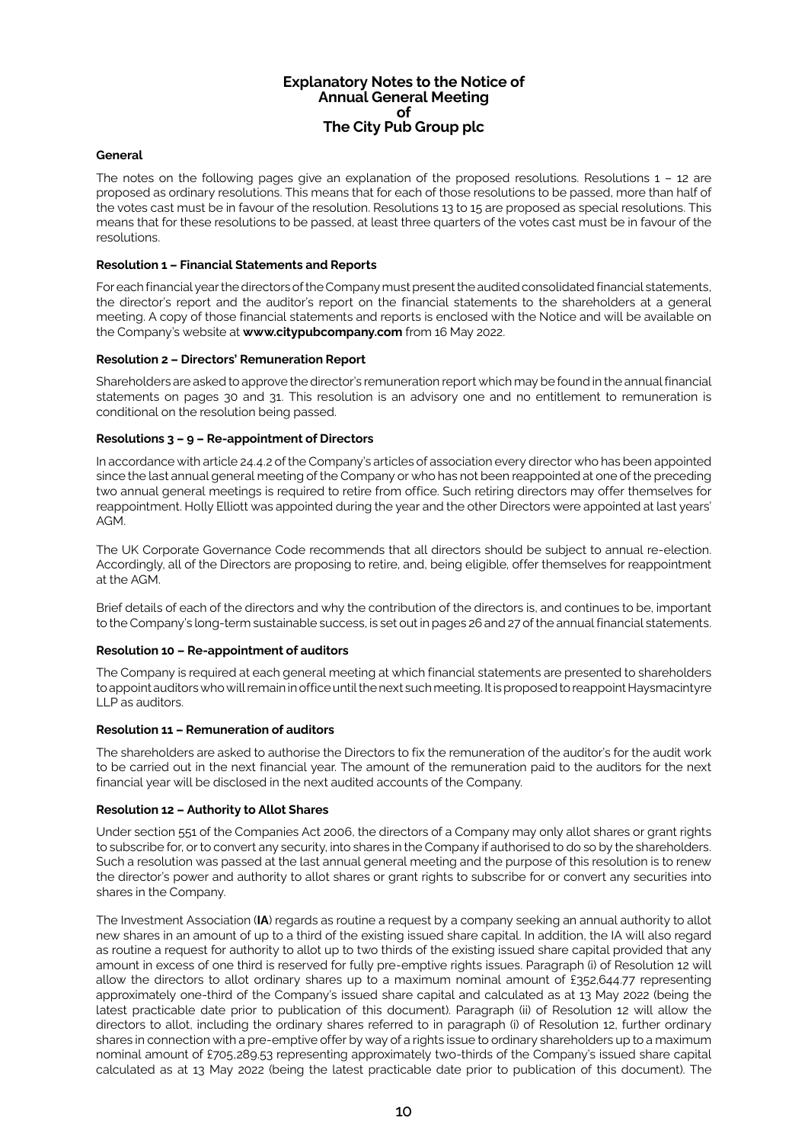# **Explanatory Notes to the Notice of Annual General Meeting of The City Pub Group plc**

## **General**

The notes on the following pages give an explanation of the proposed resolutions. Resolutions 1 – 12 are proposed as ordinary resolutions. This means that for each of those resolutions to be passed, more than half of the votes cast must be in favour of the resolution. Resolutions 13 to 15 are proposed as special resolutions. This means that for these resolutions to be passed, at least three quarters of the votes cast must be in favour of the resolutions.

#### **Resolution 1 – Financial Statements and Reports**

For each financial year the directors of the Company must present the audited consolidated financial statements, the director's report and the auditor's report on the financial statements to the shareholders at a general meeting. A copy of those financial statements and reports is enclosed with the Notice and will be available on the Company's website at **[www.citypubcompany.com](http://www.citypubcompany.com)** from 16 May 2022.

#### **Resolution 2 – Directors' Remuneration Report**

Shareholders are asked to approve the director's remuneration report which may be found in the annual financial statements on pages 30 and 31. This resolution is an advisory one and no entitlement to remuneration is conditional on the resolution being passed.

#### **Resolutions 3 – 9 – Re-appointment of Directors**

In accordance with article 24.4.2 of the Company's articles of association every director who has been appointed since the last annual general meeting of the Company or who has not been reappointed at one of the preceding two annual general meetings is required to retire from office. Such retiring directors may offer themselves for reappointment. Holly Elliott was appointed during the year and the other Directors were appointed at last years' AGM.

The UK Corporate Governance Code recommends that all directors should be subject to annual re-election. Accordingly, all of the Directors are proposing to retire, and, being eligible, offer themselves for reappointment at the AGM.

Brief details of each of the directors and why the contribution of the directors is, and continues to be, important to the Company's long-term sustainable success, is set out in pages 26 and 27 of the annual financial statements.

# **Resolution 10 – Re-appointment of auditors**

The Company is required at each general meeting at which financial statements are presented to shareholders to appoint auditors who will remain in office until the next such meeting. It is proposed to reappoint Haysmacintyre LLP as auditors.

#### **Resolution 11 – Remuneration of auditors**

The shareholders are asked to authorise the Directors to fix the remuneration of the auditor's for the audit work to be carried out in the next financial year. The amount of the remuneration paid to the auditors for the next financial year will be disclosed in the next audited accounts of the Company.

#### **Resolution 12 – Authority to Allot Shares**

Under section 551 of the Companies Act 2006, the directors of a Company may only allot shares or grant rights to subscribe for, or to convert any security, into shares in the Company if authorised to do so by the shareholders. Such a resolution was passed at the last annual general meeting and the purpose of this resolution is to renew the director's power and authority to allot shares or grant rights to subscribe for or convert any securities into shares in the Company.

The Investment Association (**IA**) regards as routine a request by a company seeking an annual authority to allot new shares in an amount of up to a third of the existing issued share capital. In addition, the IA will also regard as routine a request for authority to allot up to two thirds of the existing issued share capital provided that any amount in excess of one third is reserved for fully pre-emptive rights issues. Paragraph (i) of Resolution 12 will allow the directors to allot ordinary shares up to a maximum nominal amount of £352,644.77 representing approximately one-third of the Company's issued share capital and calculated as at 13 May 2022 (being the latest practicable date prior to publication of this document). Paragraph (ii) of Resolution 12 will allow the directors to allot, including the ordinary shares referred to in paragraph (i) of Resolution 12, further ordinary shares in connection with a pre-emptive offer by way of a rights issue to ordinary shareholders up to a maximum nominal amount of £705,289.53 representing approximately two-thirds of the Company's issued share capital calculated as at 13 May 2022 (being the latest practicable date prior to publication of this document). The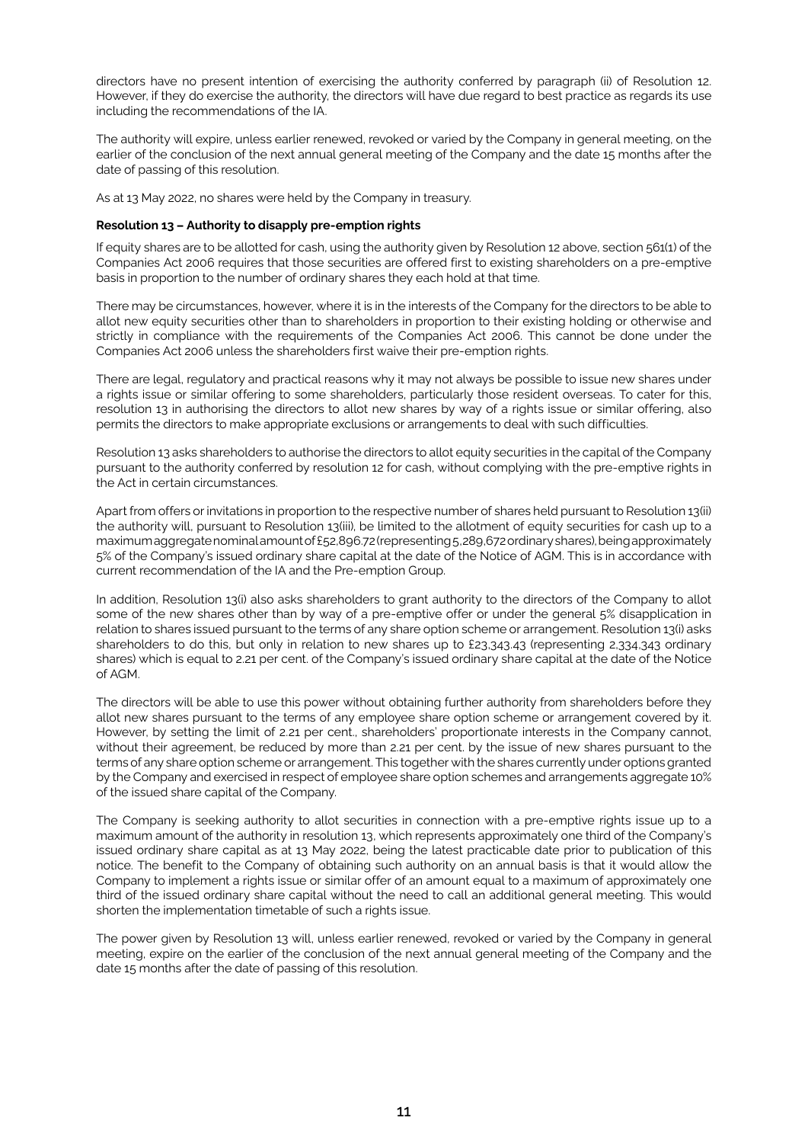directors have no present intention of exercising the authority conferred by paragraph (ii) of Resolution 12. However, if they do exercise the authority, the directors will have due regard to best practice as regards its use including the recommendations of the IA.

The authority will expire, unless earlier renewed, revoked or varied by the Company in general meeting, on the earlier of the conclusion of the next annual general meeting of the Company and the date 15 months after the date of passing of this resolution.

As at 13 May 2022, no shares were held by the Company in treasury.

# **Resolution 13 – Authority to disapply pre-emption rights**

If equity shares are to be allotted for cash, using the authority given by Resolution 12 above, section 561(1) of the Companies Act 2006 requires that those securities are offered first to existing shareholders on a pre-emptive basis in proportion to the number of ordinary shares they each hold at that time.

There may be circumstances, however, where it is in the interests of the Company for the directors to be able to allot new equity securities other than to shareholders in proportion to their existing holding or otherwise and strictly in compliance with the requirements of the Companies Act 2006. This cannot be done under the Companies Act 2006 unless the shareholders first waive their pre-emption rights.

There are legal, regulatory and practical reasons why it may not always be possible to issue new shares under a rights issue or similar offering to some shareholders, particularly those resident overseas. To cater for this, resolution 13 in authorising the directors to allot new shares by way of a rights issue or similar offering, also permits the directors to make appropriate exclusions or arrangements to deal with such difficulties.

Resolution 13 asks shareholders to authorise the directors to allot equity securities in the capital of the Company pursuant to the authority conferred by resolution 12 for cash, without complying with the pre-emptive rights in the Act in certain circumstances.

Apart from offers or invitations in proportion to the respective number of shares held pursuant to Resolution 13(ii) the authority will, pursuant to Resolution 13(iii), be limited to the allotment of equity securities for cash up to a maximum aggregate nominal amount of £52,896.72 (representing 5,289,672 ordinary shares), being approximately 5% of the Company's issued ordinary share capital at the date of the Notice of AGM. This is in accordance with current recommendation of the IA and the Pre-emption Group.

In addition, Resolution 13(i) also asks shareholders to grant authority to the directors of the Company to allot some of the new shares other than by way of a pre-emptive offer or under the general 5% disapplication in relation to shares issued pursuant to the terms of any share option scheme or arrangement. Resolution 13(i) asks shareholders to do this, but only in relation to new shares up to £23,343.43 (representing 2,334,343 ordinary shares) which is equal to 2.21 per cent. of the Company's issued ordinary share capital at the date of the Notice of AGM.

The directors will be able to use this power without obtaining further authority from shareholders before they allot new shares pursuant to the terms of any employee share option scheme or arrangement covered by it. However, by setting the limit of 2.21 per cent., shareholders' proportionate interests in the Company cannot, without their agreement, be reduced by more than 2.21 per cent. by the issue of new shares pursuant to the terms of any share option scheme or arrangement. This together with the shares currently under options granted by the Company and exercised in respect of employee share option schemes and arrangements aggregate 10% of the issued share capital of the Company.

The Company is seeking authority to allot securities in connection with a pre-emptive rights issue up to a maximum amount of the authority in resolution 13, which represents approximately one third of the Company's issued ordinary share capital as at 13 May 2022, being the latest practicable date prior to publication of this notice. The benefit to the Company of obtaining such authority on an annual basis is that it would allow the Company to implement a rights issue or similar offer of an amount equal to a maximum of approximately one third of the issued ordinary share capital without the need to call an additional general meeting. This would shorten the implementation timetable of such a rights issue.

The power given by Resolution 13 will, unless earlier renewed, revoked or varied by the Company in general meeting, expire on the earlier of the conclusion of the next annual general meeting of the Company and the date 15 months after the date of passing of this resolution.